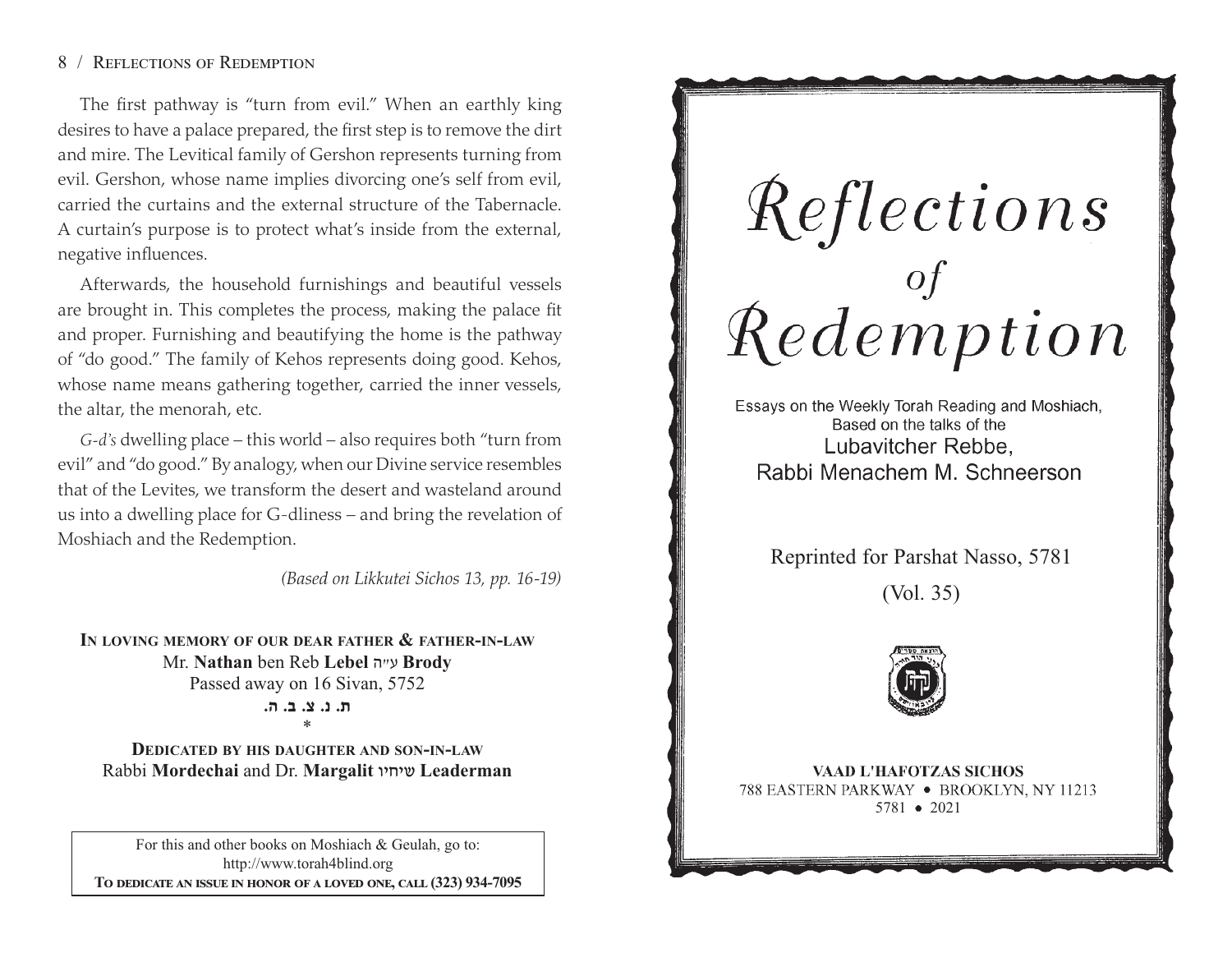# 8 / REFLECTIONS OF REDEMPTION

The first pathway is "turn from evil." When an earthly king desires to have a palace prepared, the first step is to remove the dirt and mire. The Levitical family of Gershon represents turning from evil. Gershon, whose name implies divorcing one's self from evil, carried the curtains and the external structure of the Tabernacle. A curtain's purpose is to protect what's inside from the external, negative influences.

Afterwards, the household furnishings and beautiful vessels are brought in. This completes the process, making the palace fit and proper. Furnishing and beautifying the home is the pathway of "do good." The family of Kehos represents doing good. Kehos, whose name means gathering together, carried the inner vessels, the altar, the menorah, etc.

*G-d's* dwelling place – this world – also requires both "turn from evil" and "do good." By analogy, when our Divine service resembles that of the Levites, we transform the desert and wasteland around us into a dwelling place for G-dliness – and bring the revelation of Moshiach and the Redemption.

*(Based on Likkutei Sichos 13, pp. 16-19)*

**IN LOVING MEMORY OF OUR DEAR FATHER & FATHER-IN-LAW**Mr. **Nathan** ben Reb **Lebel** <sup>v</sup>"g **Brody** Passed away on 16 Sivan, 5752

> **/v /c /m /b /,**\*

**DEDICATED BY HIS DAUGHTER AND SON-IN-LAW**Rabbi **Mordechai** and Dr. **Margalit** uhjha **Leaderman**

For this and other books on Moshiach & Geulah, go to: http://www.torah4blind.org To dedicate an issue in honor of a loved one, call (323) 934-7095

Reflections<br>of of persons

Essays on the Weekly Torah Reading and Moshiach, Based on the talks of the Lubavitcher Rebbe. Rabbi Menachem M. Schneerson

Reprinted for Parshat Nasso, 5781

(Vol. 35)



**VAAD L'HAFOTZAS SICHOS** 788 EASTERN PARKWAY . BROOKLYN, NY 11213 5781 2021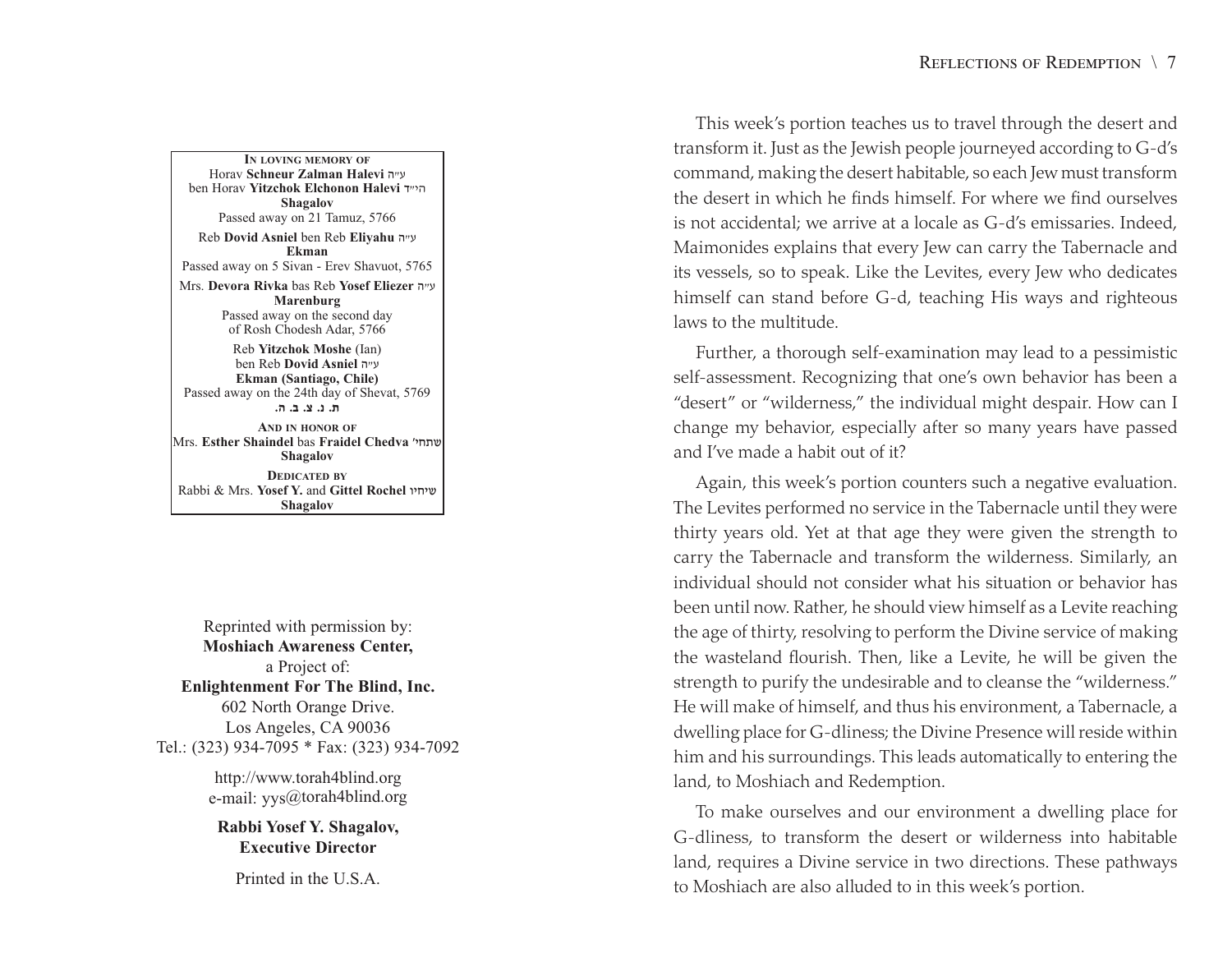**IN LOVING MEMORY OF**Horav **Schneur Zalman Halevi** v"g ben Horav **Yitzchok Elchonon Halevi** s"hv**Shagalov** Passed away on 21 Tamuz, 5766 Reb **Dovid Asniel** ben Reb **Eliyahu** <sup>v</sup>"g **Ekman**Passed away on 5 Sivan - Erev Shavuot, 5765 Mrs. **Devora Rivka** bas Reb **Yosef Eliezer** v"g **Marenburg** Passed away on the second day of Rosh Chodesh Adar, 5766 Reb **Yitzchok Moshe** (Ian)

ben Reb **Dovid Asniel** v"g **Ekman (Santiago, Chile)** Passed away on the 24th day of Shevat, 5769 **/v /c /m /b /,AND IN HONOR OF**Mrs. **Esther Shaindel** bas **Fraidel Chedva** whj,a**Shagalov DEDICATED BY**Rabbi & Mrs. **Yosef Y.** and **Gittel Rochel** uhjha

**Shagalov**

Reprinted with permission by: **Moshiach Awareness Center,** a Project of: **Enlightenment For The Blind, Inc.** 602 North Orange Drive. Los Angeles, CA 90036 Tel.: (323) 934-7095 \* Fax: (323) 934-7092

> http://www.torah4blind.org e-mail: yys@torah4blind.org

**Rabbi Yosef Y. Shagalov, Executive Director**

Printed in the U.S.A.

This week's portion teaches us to travel through the desert and transform it. Just as the Jewish people journeyed according to G-d's command, making the desert habitable, so each Jew must transform the desert in which he finds himself. For where we find ourselvesis not accidental; we arrive at a locale as G-d's emissaries. Indeed, Maimonides explains that every Jew can carry the Tabernacle and its vessels, so to speak. Like the Levites, every Jew who dedicates himself can stand before G-d, teaching His ways and righteous laws to the multitude.

Further, <sup>a</sup> thorough self-examination may lead to a pessimistic self-assessment. Recognizing that one's own behavior has been <sup>a</sup> "desert" or "wilderness," the individual might despair. How can I change my behavior, especially after so many years have passed and I've made a habit out of it?

Again, this week's portion counters such a negative evaluation. The Levites performed no service in the Tabernacle until they were thirty years old. Yet at that age they were given the strength to carry the Tabernacle and transform the wilderness. Similarly, an individual should not consider what his situation or behavior hasbeen until now. Rather, he should view himself as a Levite reaching the age of thirty, resolving to perform the Divine service of making the wasteland flourish. Then, like a Levite, he will be given the strength to purify the undesirable and to cleanse the "wilderness." He will make of himself, and thus his environment, <sup>a</sup> Tabernacle, a dwelling place for G-dliness; the Divine Presence will reside within him and his surroundings. This leads automatically to entering the land, to Moshiach and Redemption.

To make ourselves and our environment a dwelling place for G-dliness, to transform the desert or wilderness into habitable land, requires <sup>a</sup> Divine service in two directions. These pathways to Moshiach are also alluded to in this week's portion.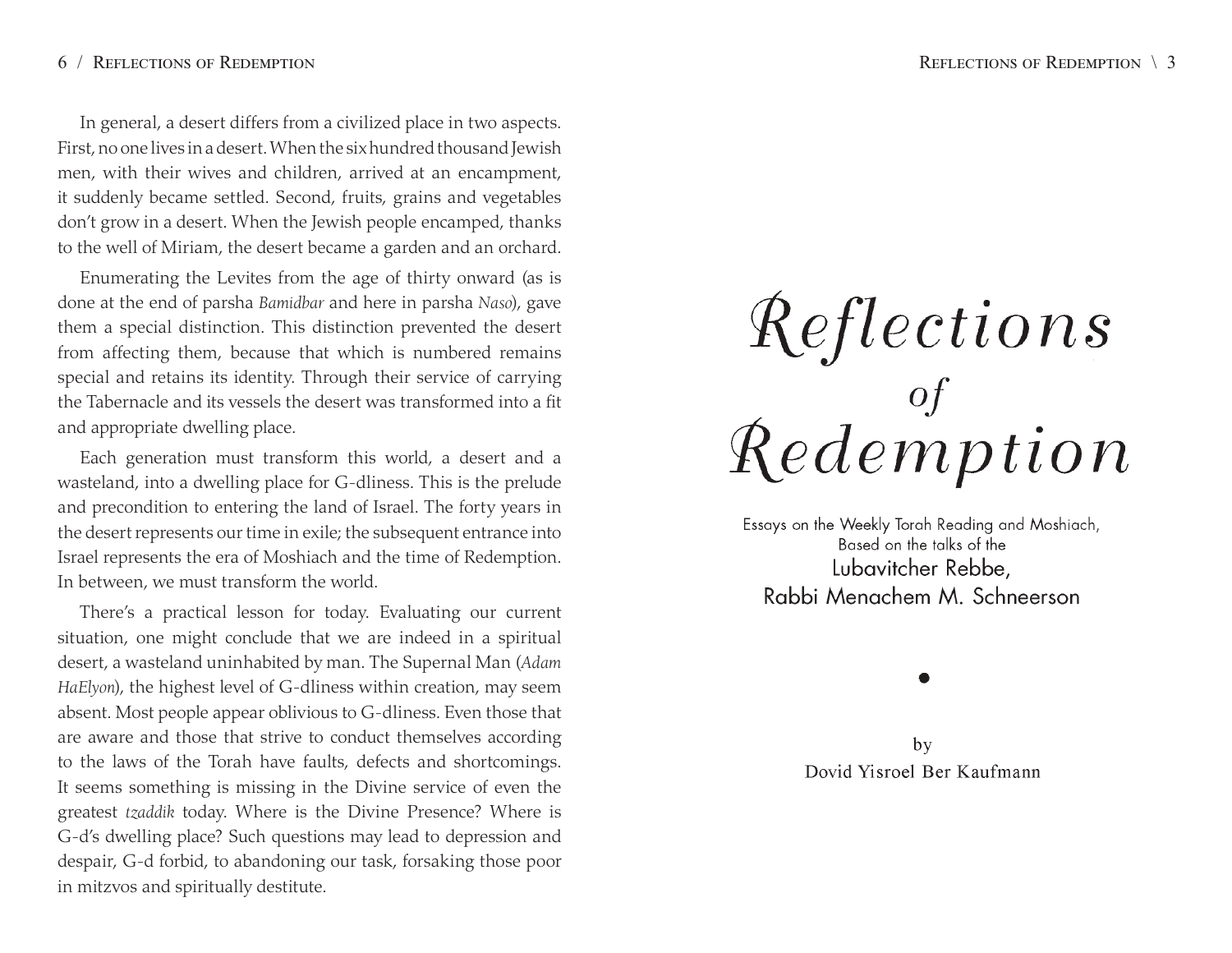## 6 / REFLECTIONS OF REDEMPTION

In general, <sup>a</sup> desert differs from a civilized place in two aspects. First, no one lives in a desert. When the six hundred thousand Jewish men, with their wives and children, arrived at an encampment, it suddenly became settled. Second, fruits, grains and vegetables don't grow in a desert. When the Jewish people encamped, thanks to the well of Miriam, the desert became <sup>a</sup> garden and an orchard.

Enumerating the Levites from the age of thirty onward (as is done at the end of parsha *Bamidbar* and here in parsha *Naso*), gave them a special distinction. This distinction prevented the desert from affecting them, because that which is numbered remains special and retains its identity. Through their service of carrying the Tabernacle and its vessels the desert was transformed into <sup>a</sup> fit and appropriate dwelling place.

Each generation must transform this world, a desert and a wasteland, into a dwelling place for G-dliness. This is the prelude and precondition to entering the land of Israel. The forty years in the desert represents our time in exile; the subsequent entrance into Israel represents the era of Moshiach and the time of Redemption. In between, we must transform the world.

There's a practical lesson for today. Evaluating our current situation, one might conclude that we are indeed in <sup>a</sup> spiritual desert, a wasteland uninhabited by man. The Supernal Man (*Adam HaElyon*), the highest level of G-dliness within creation, may seem absent. Most people appear oblivious to G-dliness. Even those that are aware and those that strive to conduct themselves according to the laws of the Torah have faults, defects and shortcomings. It seems something is missing in the Divine service of even the greatest *tzaddik* today. Where is the Divine Presence? Where is G-d's dwelling place? Such questions may lead to depression and despair, G-d forbid, to abandoning our task, forsaking those poor in mitzvos and spiritually destitute.

# Reflections<br>demption

Essays on the Weekly Torah Reading and Moshiach, Based on the talks of the Lubavitcher Rebbe. Rabbi Menachem M. Schneerson

by Dovid Yisroel Ber Kaufmann